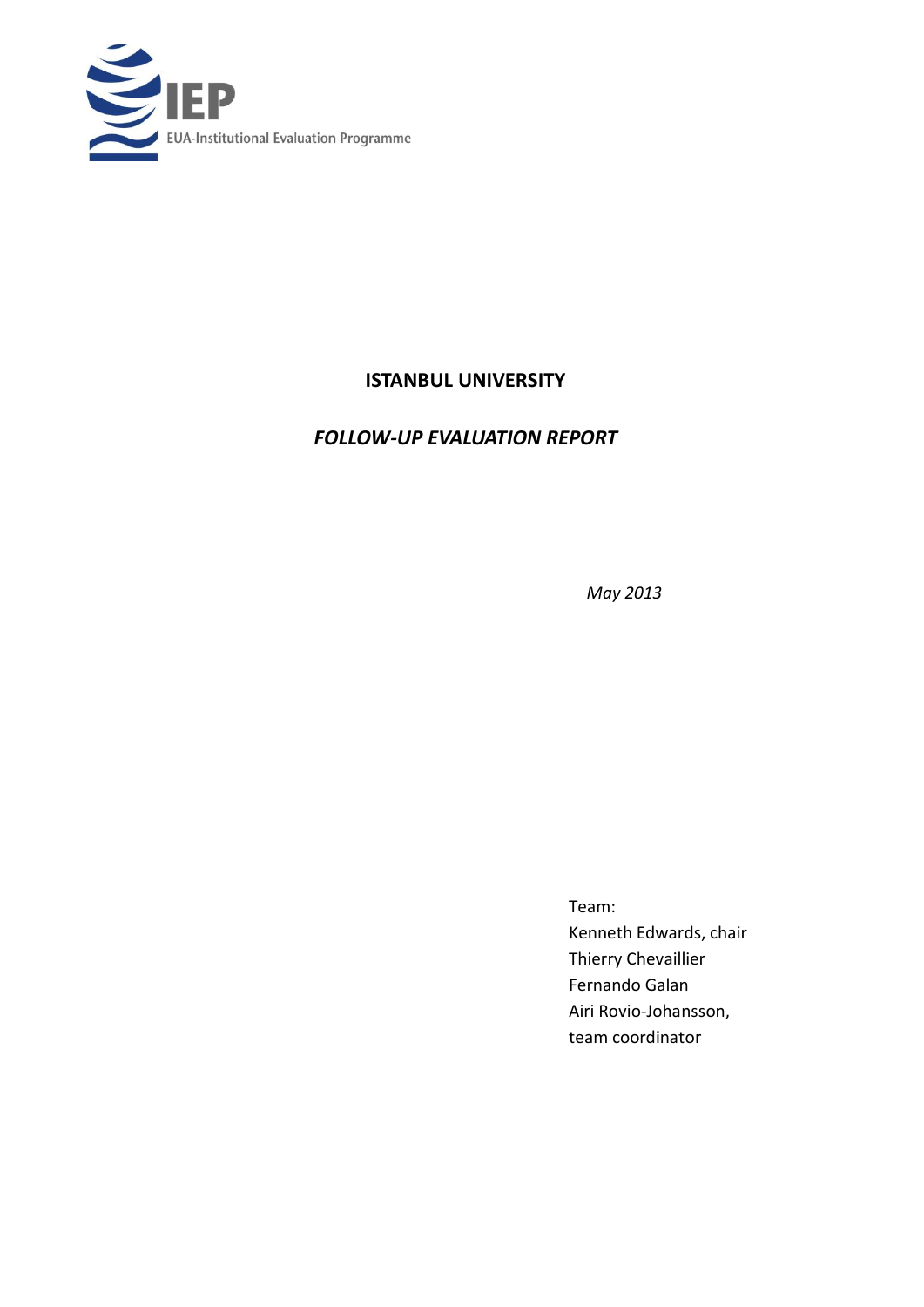

# **ISTANBUL UNIVERSITY**

# *FOLLOW-UP EVALUATION REPORT*

*May 2013*

Team: Kenneth Edwards, chair Thierry Chevaillier Fernando Galan Airi Rovio-Johansson, team coordinator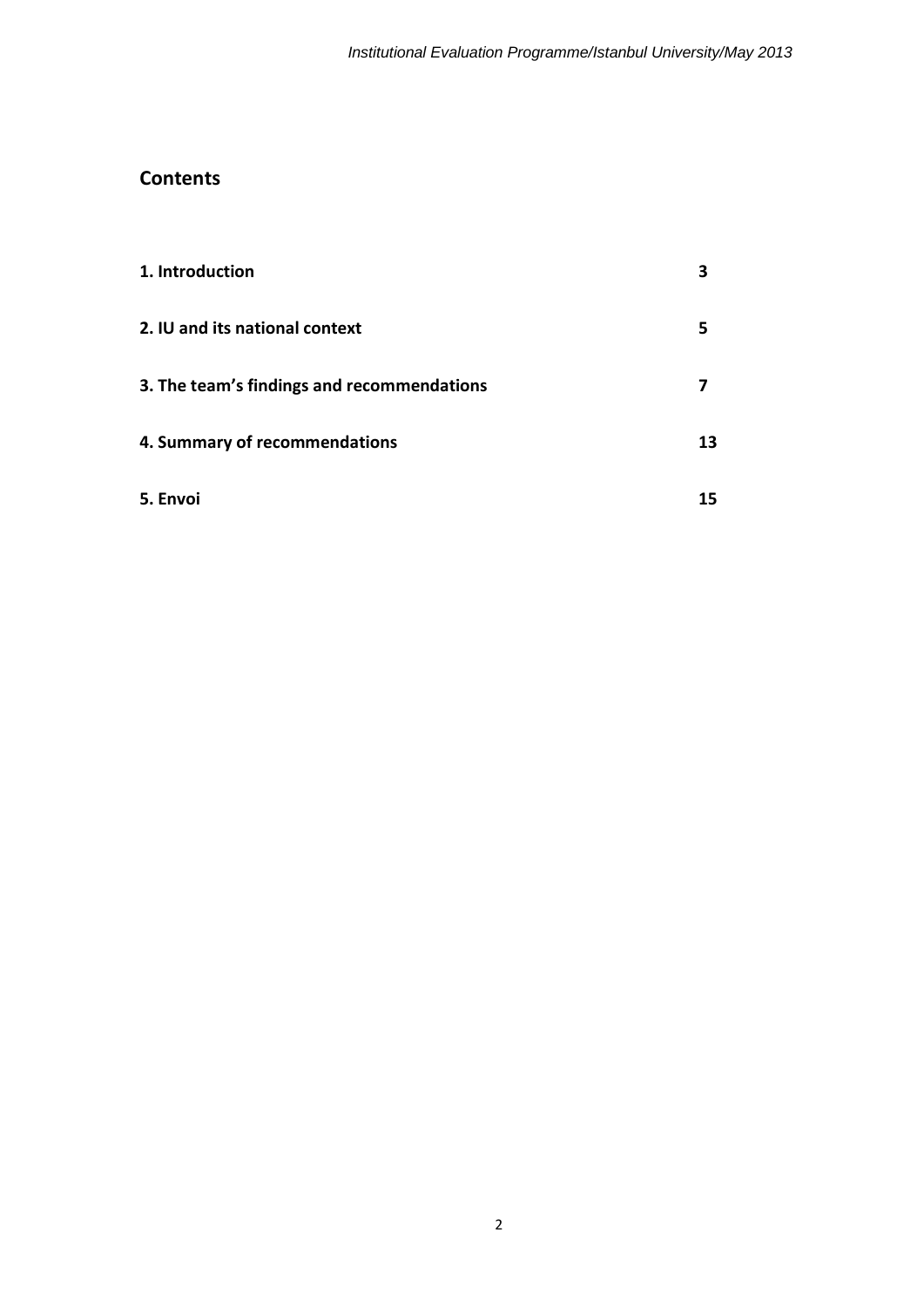# **Contents**

| 1. Introduction                            |    |
|--------------------------------------------|----|
| 2. IU and its national context             | 5  |
| 3. The team's findings and recommendations |    |
| 4. Summary of recommendations              | 13 |
| 5. Envoi                                   | 15 |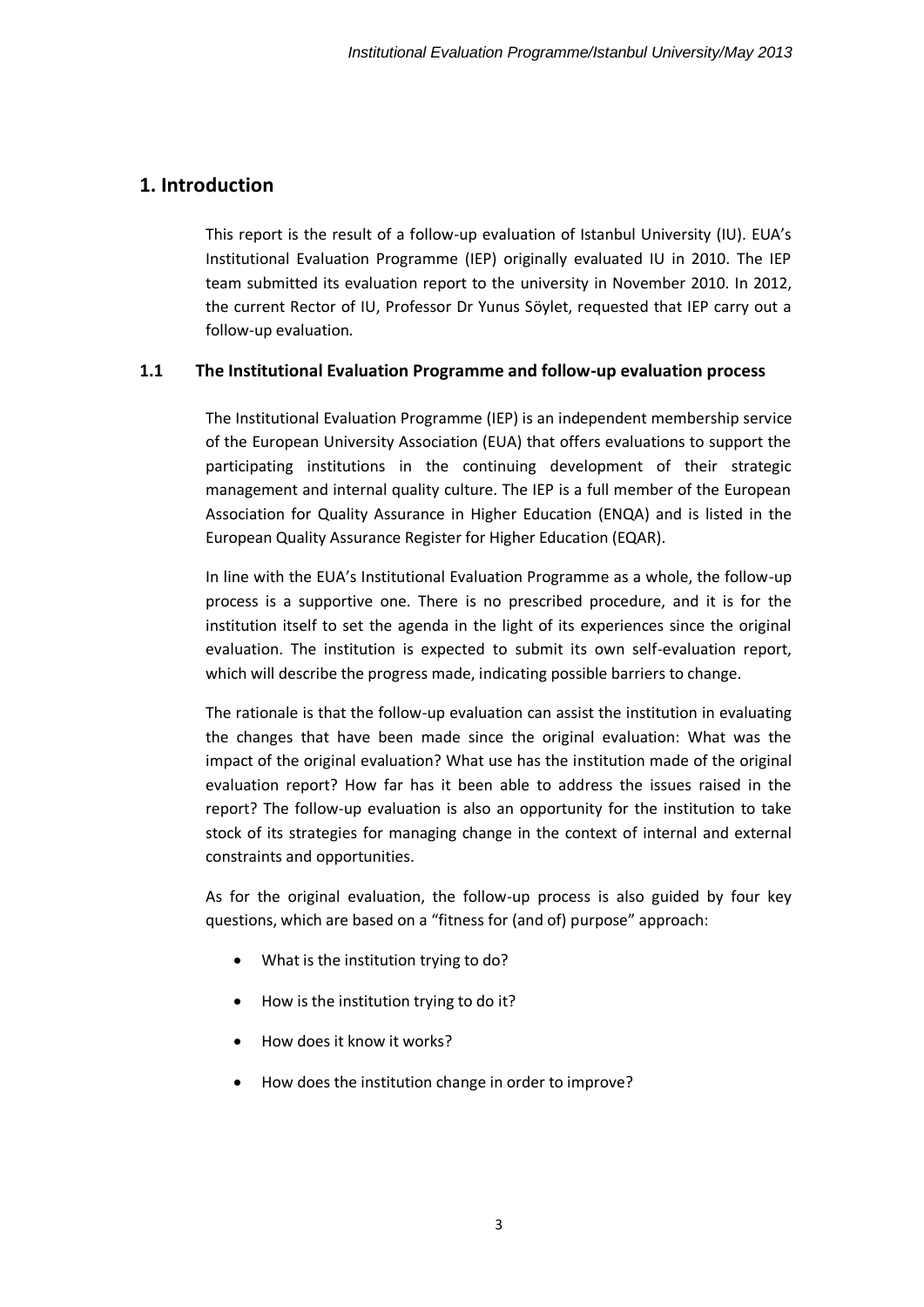## **1. Introduction**

This report is the result of a follow-up evaluation of Istanbul University (IU). EUA's Institutional Evaluation Programme (IEP) originally evaluated IU in 2010. The IEP team submitted its evaluation report to the university in November 2010. In 2012, the current Rector of IU, Professor Dr Yunus Söylet, requested that IEP carry out a follow-up evaluation.

### **1.1 The Institutional Evaluation Programme and follow-up evaluation process**

The Institutional Evaluation Programme (IEP) is an independent membership service of the European University Association (EUA) that offers evaluations to support the participating institutions in the continuing development of their strategic management and internal quality culture. The IEP is a full member of the European Association for Quality Assurance in Higher Education (ENQA) and is listed in the European Quality Assurance Register for Higher Education (EQAR).

In line with the EUA's Institutional Evaluation Programme as a whole, the follow-up process is a supportive one. There is no prescribed procedure, and it is for the institution itself to set the agenda in the light of its experiences since the original evaluation. The institution is expected to submit its own self-evaluation report, which will describe the progress made, indicating possible barriers to change.

The rationale is that the follow-up evaluation can assist the institution in evaluating the changes that have been made since the original evaluation: What was the impact of the original evaluation? What use has the institution made of the original evaluation report? How far has it been able to address the issues raised in the report? The follow-up evaluation is also an opportunity for the institution to take stock of its strategies for managing change in the context of internal and external constraints and opportunities.

As for the original evaluation, the follow-up process is also guided by four key questions, which are based on a "fitness for (and of) purpose" approach:

- What is the institution trying to do?
- How is the institution trying to do it?
- How does it know it works?
- How does the institution change in order to improve?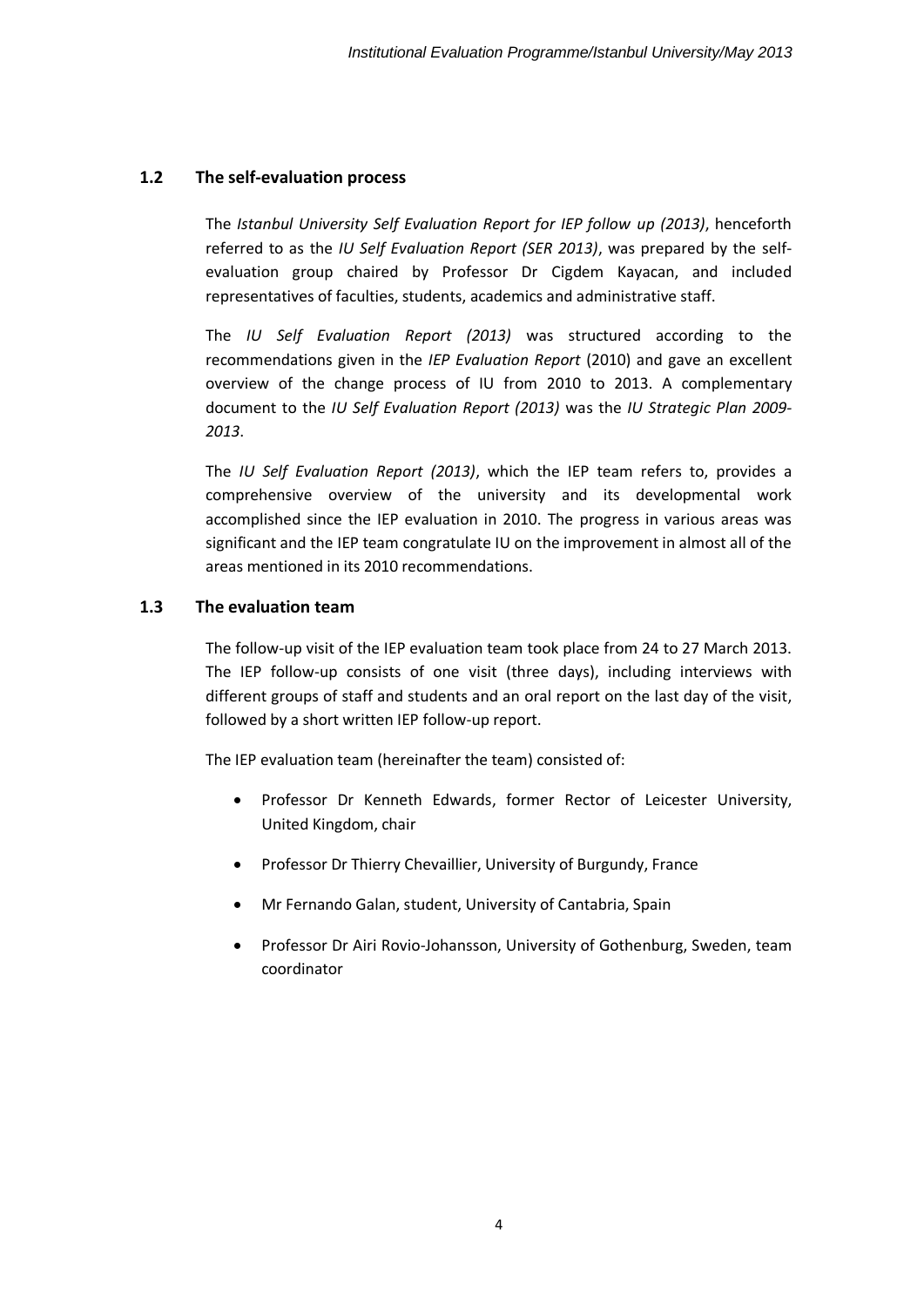### **1.2 The self-evaluation process**

The *Istanbul University Self Evaluation Report for IEP follow up (2013)*, henceforth referred to as the *IU Self Evaluation Report (SER 2013)*, was prepared by the selfevaluation group chaired by Professor Dr Cigdem Kayacan, and included representatives of faculties, students, academics and administrative staff.

The *IU Self Evaluation Report (2013)* was structured according to the recommendations given in the *IEP Evaluation Report* (2010) and gave an excellent overview of the change process of IU from 2010 to 2013. A complementary document to the *IU Self Evaluation Report (2013)* was the *IU Strategic Plan 2009- 2013*.

The *IU Self Evaluation Report (2013)*, which the IEP team refers to, provides a comprehensive overview of the university and its developmental work accomplished since the IEP evaluation in 2010. The progress in various areas was significant and the IEP team congratulate IU on the improvement in almost all of the areas mentioned in its 2010 recommendations.

#### **1.3 The evaluation team**

The follow-up visit of the IEP evaluation team took place from 24 to 27 March 2013. The IEP follow-up consists of one visit (three days), including interviews with different groups of staff and students and an oral report on the last day of the visit, followed by a short written IEP follow-up report.

The IEP evaluation team (hereinafter the team) consisted of:

- Professor Dr Kenneth Edwards, former Rector of Leicester University, United Kingdom, chair
- Professor Dr Thierry Chevaillier, University of Burgundy, France
- Mr Fernando Galan, student, University of Cantabria, Spain
- Professor Dr Airi Rovio-Johansson, University of Gothenburg, Sweden, team coordinator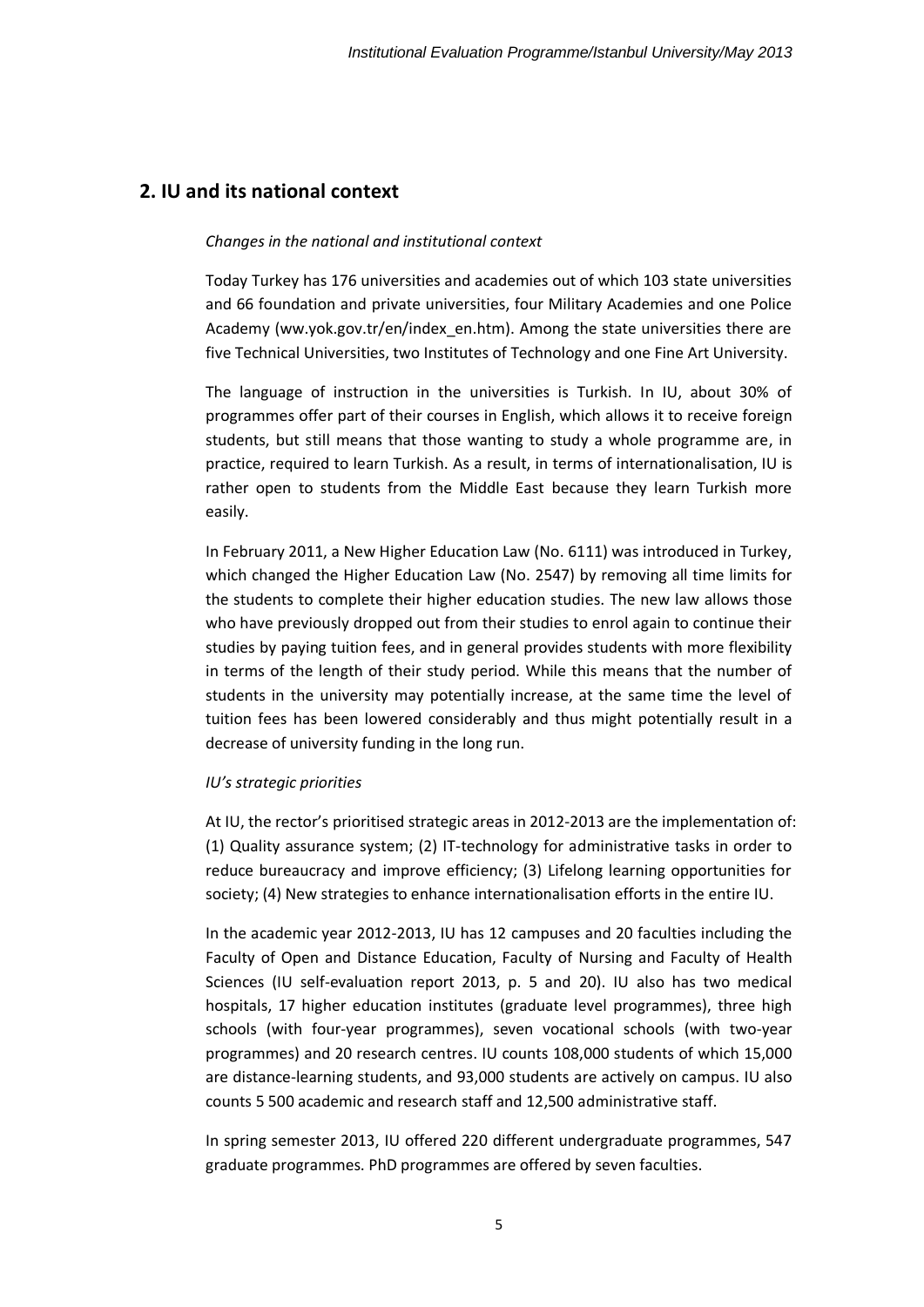## **2. IU and its national context**

#### *Changes in the national and institutional context*

Today Turkey has 176 universities and academies out of which 103 state universities and 66 foundation and private universities, four Military Academies and one Police Academy (ww.yok.gov.tr/en/index\_en.htm). Among the state universities there are five Technical Universities, two Institutes of Technology and one Fine Art University.

The language of instruction in the universities is Turkish. In IU, about 30% of programmes offer part of their courses in English, which allows it to receive foreign students, but still means that those wanting to study a whole programme are, in practice, required to learn Turkish. As a result, in terms of internationalisation, IU is rather open to students from the Middle East because they learn Turkish more easily.

In February 2011, a New Higher Education Law (No. 6111) was introduced in Turkey, which changed the Higher Education Law (No. 2547) by removing all time limits for the students to complete their higher education studies. The new law allows those who have previously dropped out from their studies to enrol again to continue their studies by paying tuition fees, and in general provides students with more flexibility in terms of the length of their study period. While this means that the number of students in the university may potentially increase, at the same time the level of tuition fees has been lowered considerably and thus might potentially result in a decrease of university funding in the long run.

#### *IU's strategic priorities*

At IU, the rector's prioritised strategic areas in 2012-2013 are the implementation of: (1) Quality assurance system; (2) IT-technology for administrative tasks in order to reduce bureaucracy and improve efficiency; (3) Lifelong learning opportunities for society; (4) New strategies to enhance internationalisation efforts in the entire IU.

In the academic year 2012-2013, IU has 12 campuses and 20 faculties including the Faculty of Open and Distance Education, Faculty of Nursing and Faculty of Health Sciences (IU self-evaluation report 2013, p. 5 and 20). IU also has two medical hospitals, 17 higher education institutes (graduate level programmes), three high schools (with four-year programmes), seven vocational schools (with two-year programmes) and 20 research centres. IU counts 108,000 students of which 15,000 are distance-learning students, and 93,000 students are actively on campus. IU also counts 5 500 academic and research staff and 12,500 administrative staff.

In spring semester 2013, IU offered 220 different undergraduate programmes, 547 graduate programmes. PhD programmes are offered by seven faculties.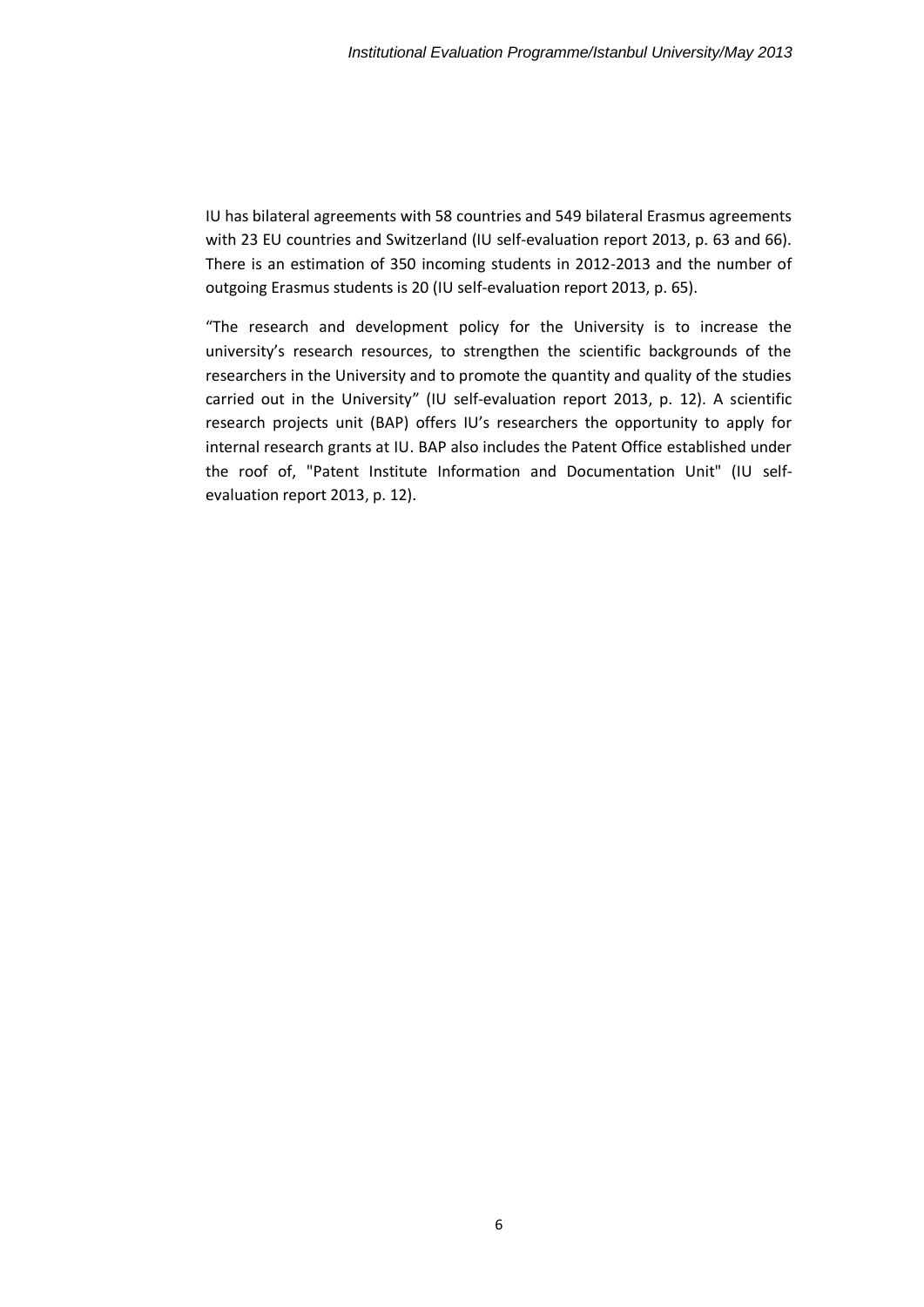IU has bilateral agreements with 58 countries and 549 bilateral Erasmus agreements with 23 EU countries and Switzerland (IU self-evaluation report 2013, p. 63 and 66). There is an estimation of 350 incoming students in 2012-2013 and the number of outgoing Erasmus students is 20 (IU self-evaluation report 2013, p. 65).

"The research and development policy for the University is to increase the university's research resources, to strengthen the scientific backgrounds of the researchers in the University and to promote the quantity and quality of the studies carried out in the University" (IU self-evaluation report 2013, p. 12). A scientific research projects unit (BAP) offers IU's researchers the opportunity to apply for internal research grants at IU. BAP also includes the Patent Office established under the roof of, "Patent Institute Information and Documentation Unit" (IU selfevaluation report 2013, p. 12).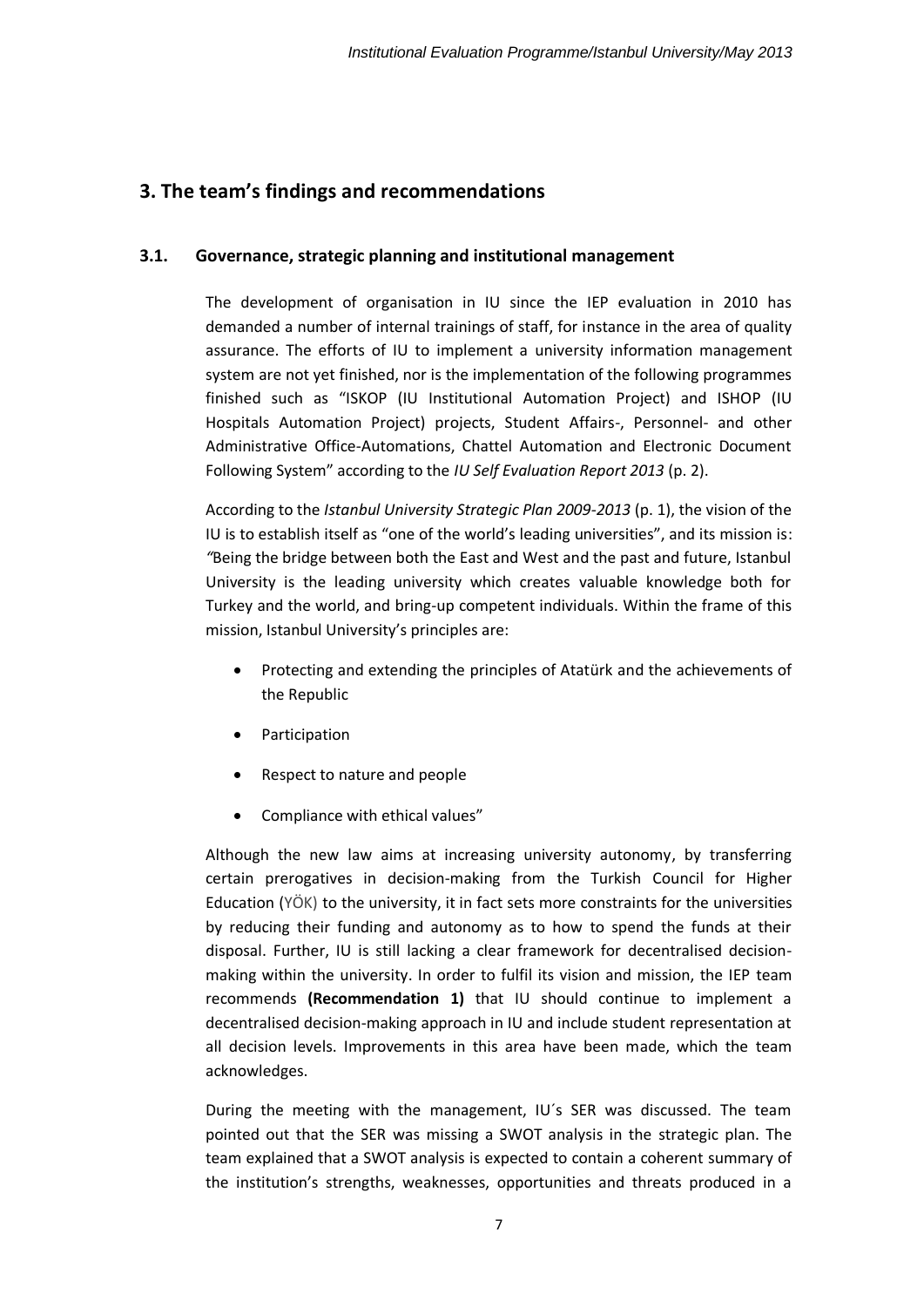# **3. The team's findings and recommendations**

### **3.1. Governance, strategic planning and institutional management**

The development of organisation in IU since the IEP evaluation in 2010 has demanded a number of internal trainings of staff, for instance in the area of quality assurance. The efforts of IU to implement a university information management system are not yet finished, nor is the implementation of the following programmes finished such as "ISKOP (IU Institutional Automation Project) and ISHOP (IU Hospitals Automation Project) projects, Student Affairs-, Personnel- and other Administrative Office-Automations, Chattel Automation and Electronic Document Following System" according to the *IU Self Evaluation Report 2013* (p. 2).

According to the *Istanbul University Strategic Plan 2009-2013* (p. 1), the vision of the IU is to establish itself as "one of the world's leading universities", and its mission is: *"*Being the bridge between both the East and West and the past and future, Istanbul University is the leading university which creates valuable knowledge both for Turkey and the world, and bring-up competent individuals. Within the frame of this mission, Istanbul University's principles are:

- Protecting and extending the principles of Atatürk and the achievements of the Republic
- Participation
- Respect to nature and people
- Compliance with ethical values"

Although the new law aims at increasing university autonomy, by transferring certain prerogatives in decision-making from the Turkish Council for Higher Education (YÖK) to the university, it in fact sets more constraints for the universities by reducing their funding and autonomy as to how to spend the funds at their disposal. Further, IU is still lacking a clear framework for decentralised decisionmaking within the university. In order to fulfil its vision and mission, the IEP team recommends **(Recommendation 1)** that IU should continue to implement a decentralised decision-making approach in IU and include student representation at all decision levels. Improvements in this area have been made, which the team acknowledges.

During the meeting with the management, IU´s SER was discussed. The team pointed out that the SER was missing a SWOT analysis in the strategic plan. The team explained that a SWOT analysis is expected to contain a coherent summary of the institution's strengths, weaknesses, opportunities and threats produced in a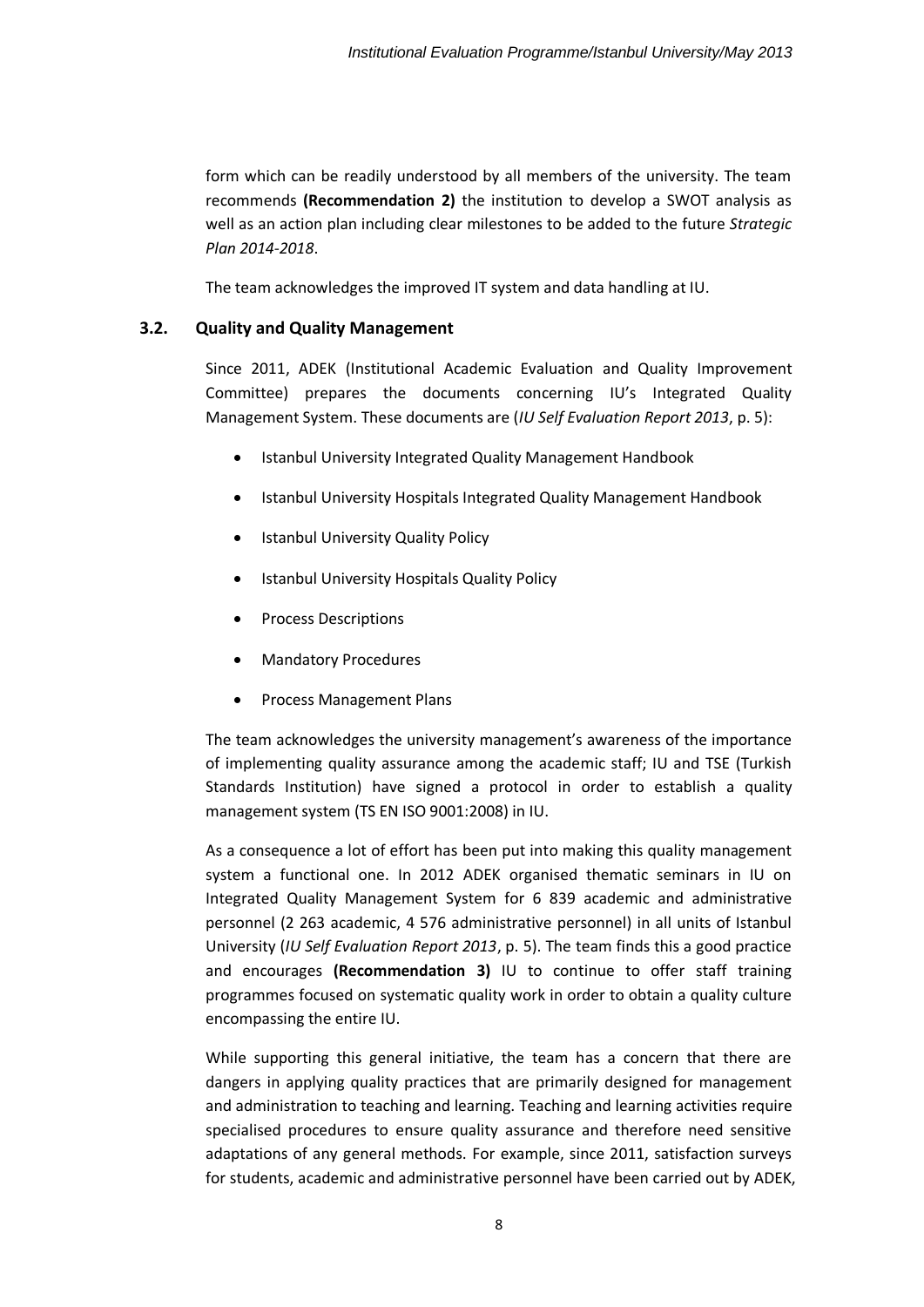form which can be readily understood by all members of the university. The team recommends **(Recommendation 2)** the institution to develop a SWOT analysis as well as an action plan including clear milestones to be added to the future *Strategic Plan 2014-2018*.

The team acknowledges the improved IT system and data handling at IU.

### **3.2. Quality and Quality Management**

Since 2011, ADEK (Institutional Academic Evaluation and Quality Improvement Committee) prepares the documents concerning IU's Integrated Quality Management System. These documents are (*IU Self Evaluation Report 2013*, p. 5):

- Istanbul University Integrated Quality Management Handbook
- Istanbul University Hospitals Integrated Quality Management Handbook
- Istanbul University Quality Policy
- **•** Istanbul University Hospitals Quality Policy
- Process Descriptions
- Mandatory Procedures
- Process Management Plans

The team acknowledges the university management's awareness of the importance of implementing quality assurance among the academic staff; IU and TSE (Turkish Standards Institution) have signed a protocol in order to establish a quality management system (TS EN ISO 9001:2008) in IU.

As a consequence a lot of effort has been put into making this quality management system a functional one. In 2012 ADEK organised thematic seminars in IU on Integrated Quality Management System for 6 839 academic and administrative personnel (2 263 academic, 4 576 administrative personnel) in all units of Istanbul University (*IU Self Evaluation Report 2013*, p. 5). The team finds this a good practice and encourages **(Recommendation 3)** IU to continue to offer staff training programmes focused on systematic quality work in order to obtain a quality culture encompassing the entire IU.

While supporting this general initiative, the team has a concern that there are dangers in applying quality practices that are primarily designed for management and administration to teaching and learning. Teaching and learning activities require specialised procedures to ensure quality assurance and therefore need sensitive adaptations of any general methods. For example, since 2011, satisfaction surveys for students, academic and administrative personnel have been carried out by ADEK,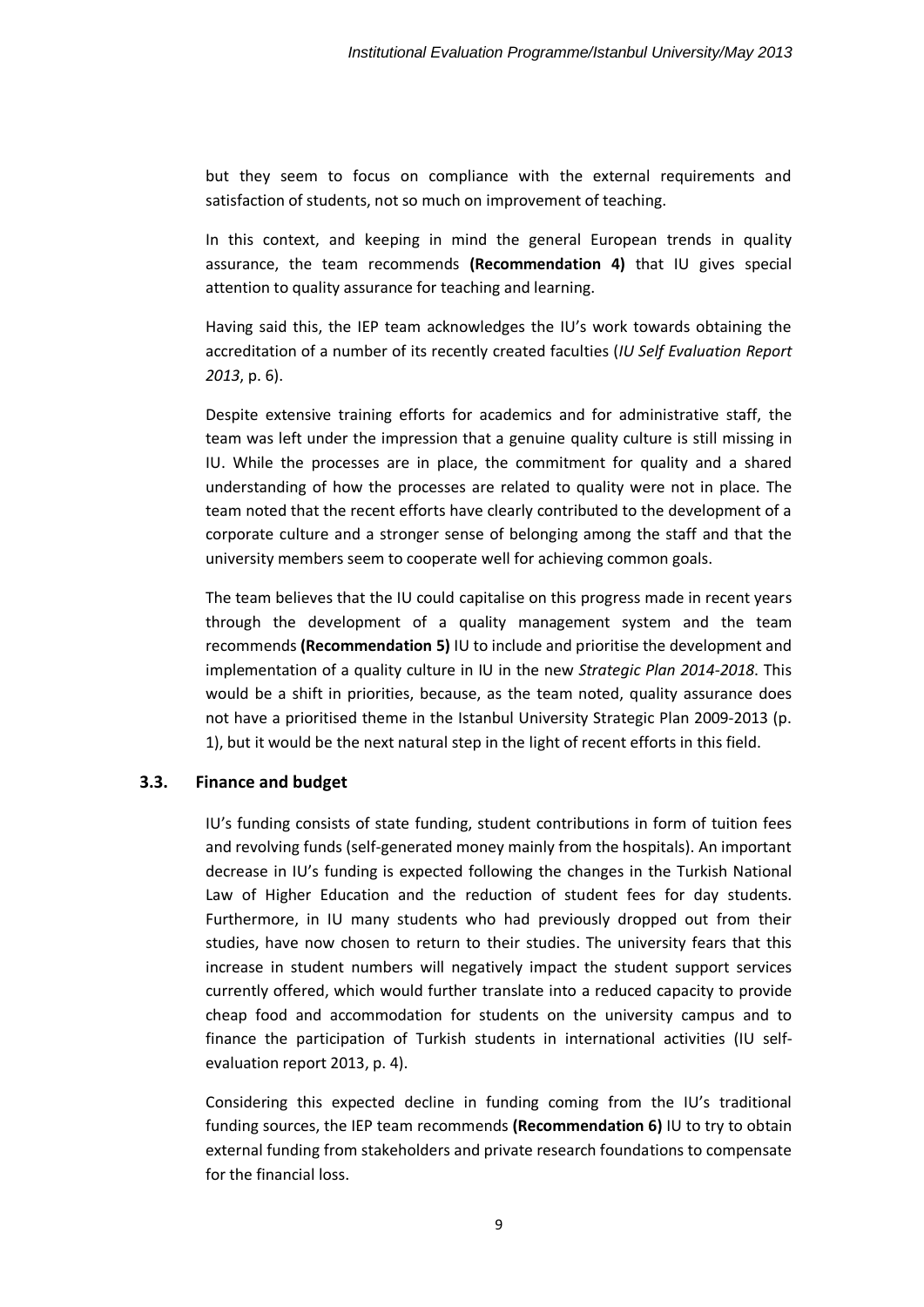but they seem to focus on compliance with the external requirements and satisfaction of students, not so much on improvement of teaching.

In this context, and keeping in mind the general European trends in quality assurance, the team recommends **(Recommendation 4)** that IU gives special attention to quality assurance for teaching and learning.

Having said this, the IEP team acknowledges the IU's work towards obtaining the accreditation of a number of its recently created faculties (*IU Self Evaluation Report 2013*, p. 6).

Despite extensive training efforts for academics and for administrative staff, the team was left under the impression that a genuine quality culture is still missing in IU. While the processes are in place, the commitment for quality and a shared understanding of how the processes are related to quality were not in place. The team noted that the recent efforts have clearly contributed to the development of a corporate culture and a stronger sense of belonging among the staff and that the university members seem to cooperate well for achieving common goals.

The team believes that the IU could capitalise on this progress made in recent years through the development of a quality management system and the team recommends **(Recommendation 5)** IU to include and prioritise the development and implementation of a quality culture in IU in the new *Strategic Plan 2014-2018*. This would be a shift in priorities, because, as the team noted, quality assurance does not have a prioritised theme in the Istanbul University Strategic Plan 2009-2013 (p. 1), but it would be the next natural step in the light of recent efforts in this field.

#### **3.3. Finance and budget**

IU's funding consists of state funding, student contributions in form of tuition fees and revolving funds (self-generated money mainly from the hospitals). An important decrease in IU's funding is expected following the changes in the Turkish National Law of Higher Education and the reduction of student fees for day students. Furthermore, in IU many students who had previously dropped out from their studies, have now chosen to return to their studies. The university fears that this increase in student numbers will negatively impact the student support services currently offered, which would further translate into a reduced capacity to provide cheap food and accommodation for students on the university campus and to finance the participation of Turkish students in international activities (IU selfevaluation report 2013, p. 4).

Considering this expected decline in funding coming from the IU's traditional funding sources, the IEP team recommends **(Recommendation 6)** IU to try to obtain external funding from stakeholders and private research foundations to compensate for the financial loss.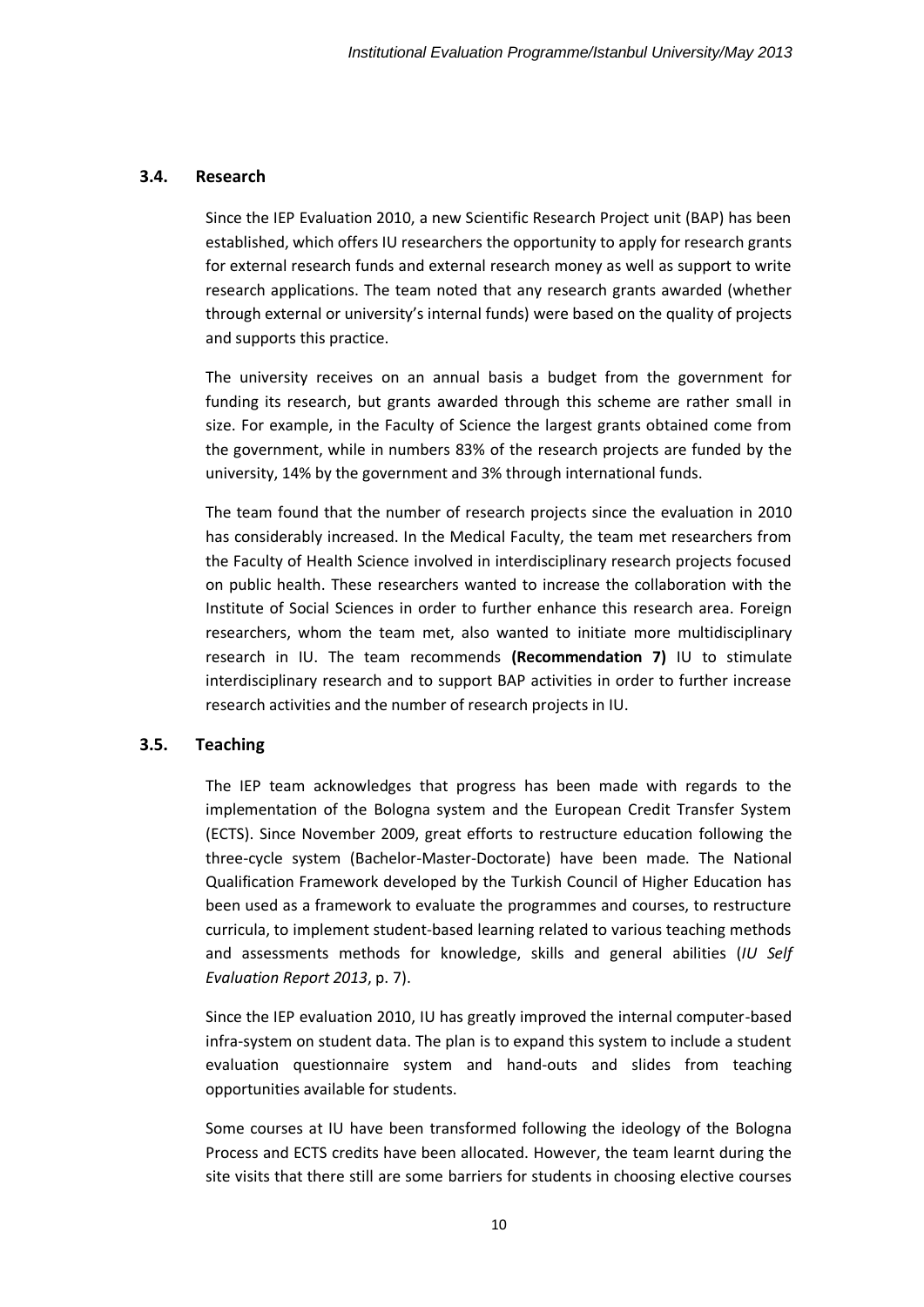#### **3.4. Research**

Since the IEP Evaluation 2010, a new Scientific Research Project unit (BAP) has been established, which offers IU researchers the opportunity to apply for research grants for external research funds and external research money as well as support to write research applications. The team noted that any research grants awarded (whether through external or university's internal funds) were based on the quality of projects and supports this practice.

The university receives on an annual basis a budget from the government for funding its research, but grants awarded through this scheme are rather small in size. For example, in the Faculty of Science the largest grants obtained come from the government, while in numbers 83% of the research projects are funded by the university, 14% by the government and 3% through international funds.

The team found that the number of research projects since the evaluation in 2010 has considerably increased. In the Medical Faculty, the team met researchers from the Faculty of Health Science involved in interdisciplinary research projects focused on public health. These researchers wanted to increase the collaboration with the Institute of Social Sciences in order to further enhance this research area. Foreign researchers, whom the team met, also wanted to initiate more multidisciplinary research in IU. The team recommends **(Recommendation 7)** IU to stimulate interdisciplinary research and to support BAP activities in order to further increase research activities and the number of research projects in IU.

#### **3.5. Teaching**

The IEP team acknowledges that progress has been made with regards to the implementation of the Bologna system and the European Credit Transfer System (ECTS). Since November 2009, great efforts to restructure education following the three-cycle system (Bachelor-Master-Doctorate) have been made. The National Qualification Framework developed by the Turkish Council of Higher Education has been used as a framework to evaluate the programmes and courses, to restructure curricula, to implement student-based learning related to various teaching methods and assessments methods for knowledge, skills and general abilities (*IU Self Evaluation Report 2013*, p. 7).

Since the IEP evaluation 2010, IU has greatly improved the internal computer-based infra-system on student data. The plan is to expand this system to include a student evaluation questionnaire system and hand-outs and slides from teaching opportunities available for students.

Some courses at IU have been transformed following the ideology of the Bologna Process and ECTS credits have been allocated. However, the team learnt during the site visits that there still are some barriers for students in choosing elective courses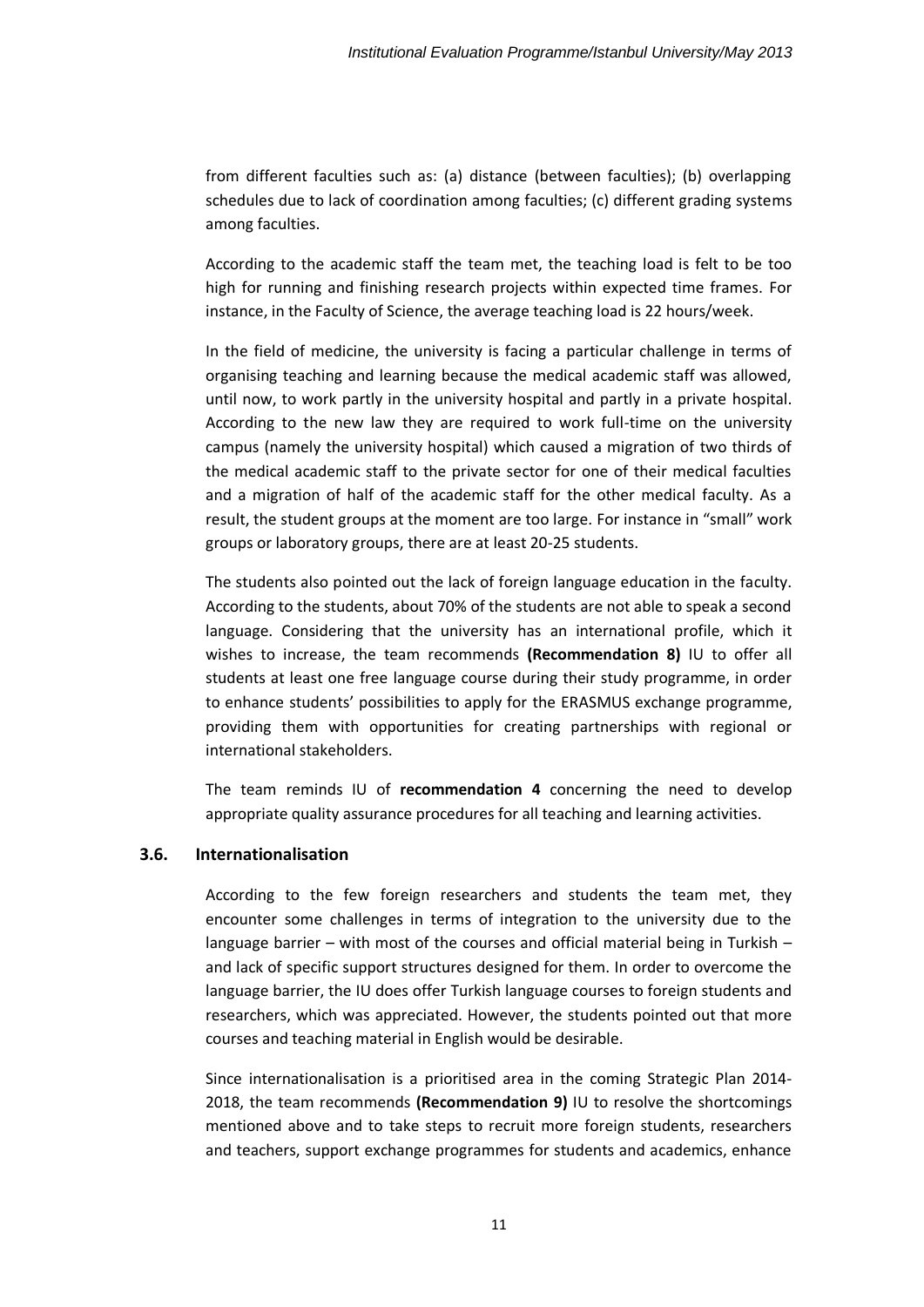from different faculties such as: (a) distance (between faculties); (b) overlapping schedules due to lack of coordination among faculties; (c) different grading systems among faculties.

According to the academic staff the team met, the teaching load is felt to be too high for running and finishing research projects within expected time frames. For instance, in the Faculty of Science, the average teaching load is 22 hours/week.

In the field of medicine, the university is facing a particular challenge in terms of organising teaching and learning because the medical academic staff was allowed, until now, to work partly in the university hospital and partly in a private hospital. According to the new law they are required to work full-time on the university campus (namely the university hospital) which caused a migration of two thirds of the medical academic staff to the private sector for one of their medical faculties and a migration of half of the academic staff for the other medical faculty. As a result, the student groups at the moment are too large. For instance in "small" work groups or laboratory groups, there are at least 20-25 students.

The students also pointed out the lack of foreign language education in the faculty. According to the students, about 70% of the students are not able to speak a second language. Considering that the university has an international profile, which it wishes to increase, the team recommends **(Recommendation 8)** IU to offer all students at least one free language course during their study programme, in order to enhance students' possibilities to apply for the ERASMUS exchange programme, providing them with opportunities for creating partnerships with regional or international stakeholders.

The team reminds IU of **recommendation 4** concerning the need to develop appropriate quality assurance procedures for all teaching and learning activities.

#### **3.6. Internationalisation**

According to the few foreign researchers and students the team met, they encounter some challenges in terms of integration to the university due to the language barrier – with most of the courses and official material being in Turkish – and lack of specific support structures designed for them. In order to overcome the language barrier, the IU does offer Turkish language courses to foreign students and researchers, which was appreciated. However, the students pointed out that more courses and teaching material in English would be desirable.

Since internationalisation is a prioritised area in the coming Strategic Plan 2014- 2018, the team recommends **(Recommendation 9)** IU to resolve the shortcomings mentioned above and to take steps to recruit more foreign students, researchers and teachers, support exchange programmes for students and academics, enhance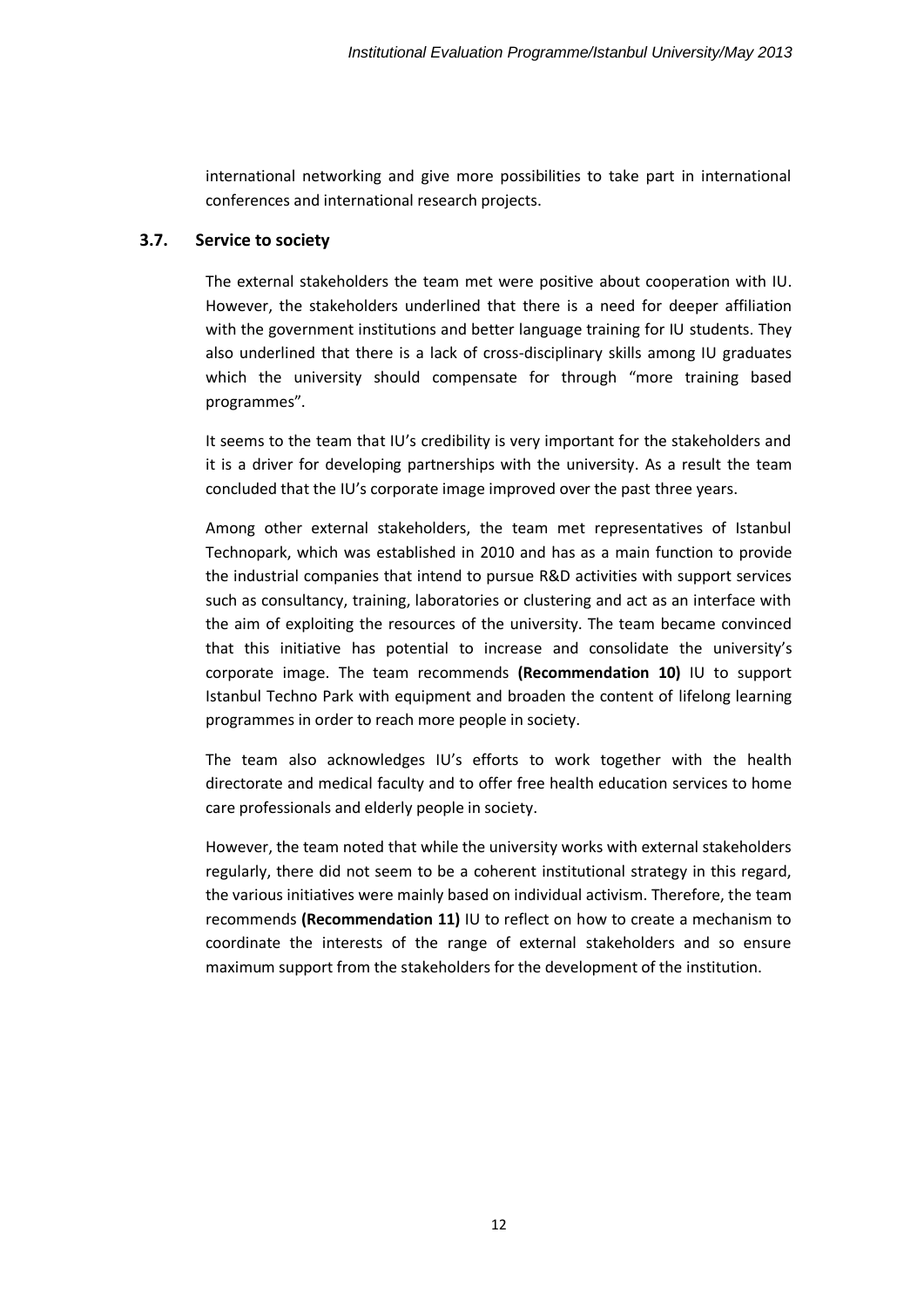international networking and give more possibilities to take part in international conferences and international research projects.

#### **3.7. Service to society**

The external stakeholders the team met were positive about cooperation with IU. However, the stakeholders underlined that there is a need for deeper affiliation with the government institutions and better language training for IU students. They also underlined that there is a lack of cross-disciplinary skills among IU graduates which the university should compensate for through "more training based programmes".

It seems to the team that IU's credibility is very important for the stakeholders and it is a driver for developing partnerships with the university. As a result the team concluded that the IU's corporate image improved over the past three years.

Among other external stakeholders, the team met representatives of Istanbul Technopark, which was established in 2010 and has as a main function to provide the industrial companies that intend to pursue R&D activities with support services such as consultancy, training, laboratories or clustering and act as an interface with the aim of exploiting the resources of the university. The team became convinced that this initiative has potential to increase and consolidate the university's corporate image. The team recommends **(Recommendation 10)** IU to support Istanbul Techno Park with equipment and broaden the content of lifelong learning programmes in order to reach more people in society.

The team also acknowledges IU's efforts to work together with the health directorate and medical faculty and to offer free health education services to home care professionals and elderly people in society.

However, the team noted that while the university works with external stakeholders regularly, there did not seem to be a coherent institutional strategy in this regard, the various initiatives were mainly based on individual activism. Therefore, the team recommends **(Recommendation 11)** IU to reflect on how to create a mechanism to coordinate the interests of the range of external stakeholders and so ensure maximum support from the stakeholders for the development of the institution.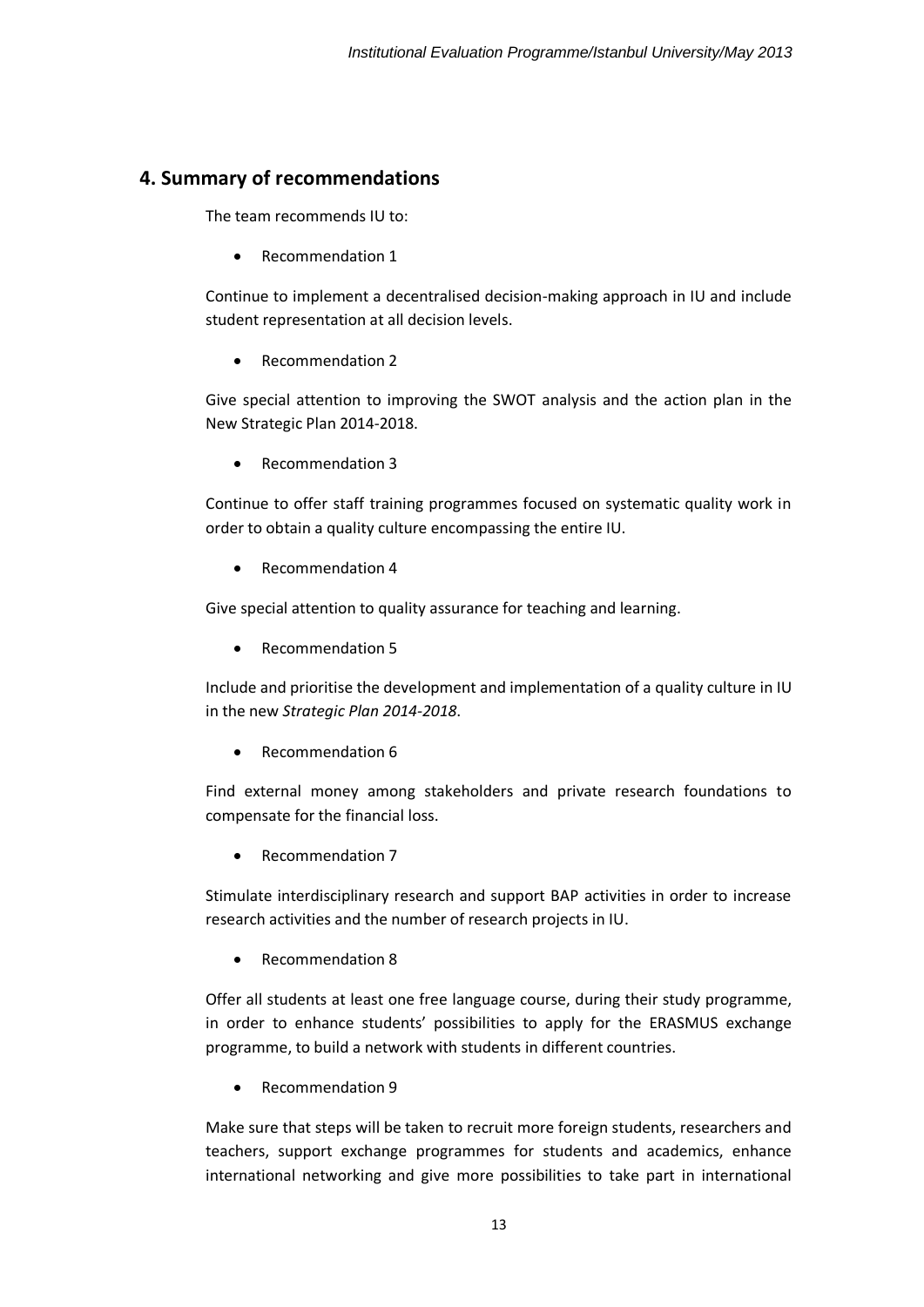# **4. Summary of recommendations**

The team recommends IU to:

Recommendation 1

Continue to implement a decentralised decision-making approach in IU and include student representation at all decision levels.

• Recommendation 2

Give special attention to improving the SWOT analysis and the action plan in the New Strategic Plan 2014-2018.

Recommendation 3

Continue to offer staff training programmes focused on systematic quality work in order to obtain a quality culture encompassing the entire IU.

Recommendation 4

Give special attention to quality assurance for teaching and learning.

• Recommendation 5

Include and prioritise the development and implementation of a quality culture in IU in the new *Strategic Plan 2014-2018*.

• Recommendation 6

Find external money among stakeholders and private research foundations to compensate for the financial loss.

• Recommendation 7

Stimulate interdisciplinary research and support BAP activities in order to increase research activities and the number of research projects in IU.

Recommendation 8

Offer all students at least one free language course, during their study programme, in order to enhance students' possibilities to apply for the ERASMUS exchange programme, to build a network with students in different countries.

• Recommendation 9

Make sure that steps will be taken to recruit more foreign students, researchers and teachers, support exchange programmes for students and academics, enhance international networking and give more possibilities to take part in international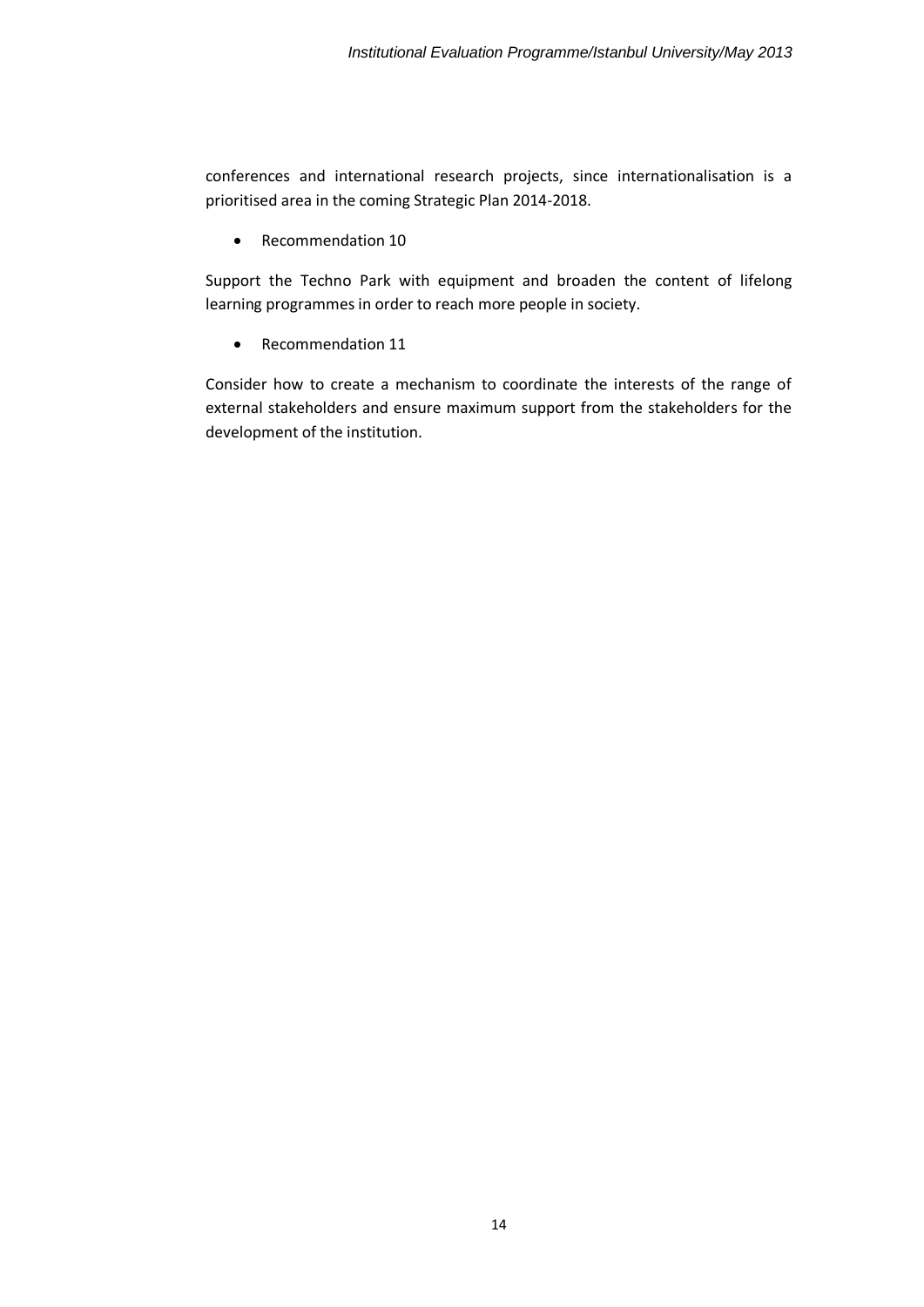conferences and international research projects, since internationalisation is a prioritised area in the coming Strategic Plan 2014-2018.

• Recommendation 10

Support the Techno Park with equipment and broaden the content of lifelong learning programmes in order to reach more people in society.

• Recommendation 11

Consider how to create a mechanism to coordinate the interests of the range of external stakeholders and ensure maximum support from the stakeholders for the development of the institution.